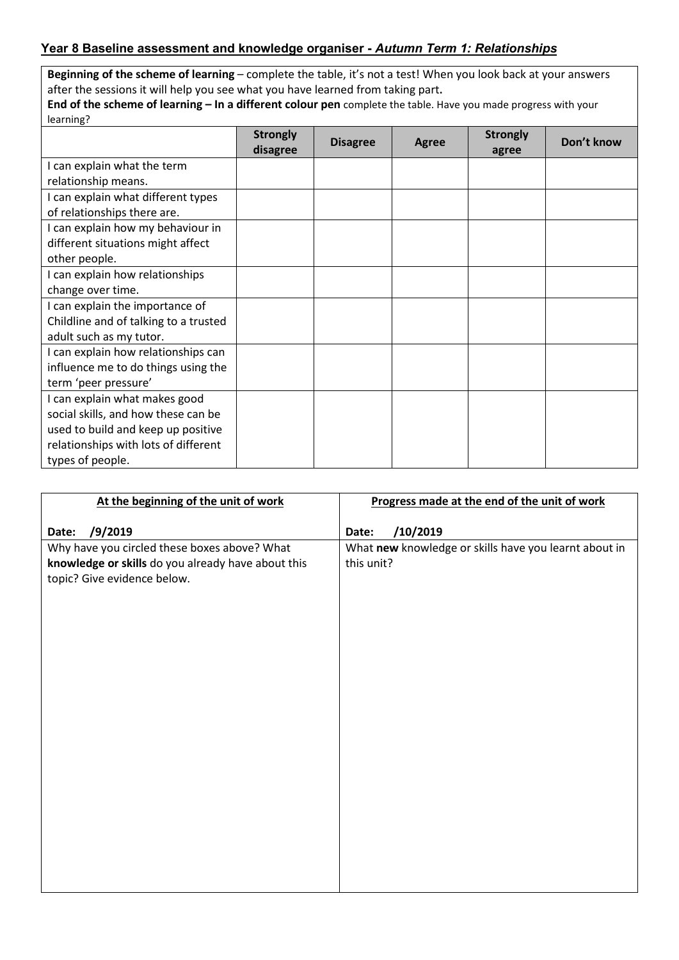## **Year 8 Baseline assessment and knowledge organiser -** *Autumn Term 1: Relationships*

**Beginning of the scheme of learning** – complete the table, it's not a test! When you look back at your answers after the sessions it will help you see what you have learned from taking part**.** 

| End of the scheme of learning - In a different colour pen complete the table. Have you made progress with your |  |
|----------------------------------------------------------------------------------------------------------------|--|
| learning?                                                                                                      |  |

|                                       | <b>Strongly</b> | <b>Disagree</b> |  | Agree | <b>Strongly</b> | Don't know |
|---------------------------------------|-----------------|-----------------|--|-------|-----------------|------------|
|                                       | disagree        |                 |  | agree |                 |            |
| I can explain what the term           |                 |                 |  |       |                 |            |
| relationship means.                   |                 |                 |  |       |                 |            |
| I can explain what different types    |                 |                 |  |       |                 |            |
| of relationships there are.           |                 |                 |  |       |                 |            |
| I can explain how my behaviour in     |                 |                 |  |       |                 |            |
| different situations might affect     |                 |                 |  |       |                 |            |
| other people.                         |                 |                 |  |       |                 |            |
| I can explain how relationships       |                 |                 |  |       |                 |            |
| change over time.                     |                 |                 |  |       |                 |            |
| I can explain the importance of       |                 |                 |  |       |                 |            |
| Childline and of talking to a trusted |                 |                 |  |       |                 |            |
| adult such as my tutor.               |                 |                 |  |       |                 |            |
| I can explain how relationships can   |                 |                 |  |       |                 |            |
| influence me to do things using the   |                 |                 |  |       |                 |            |
| term 'peer pressure'                  |                 |                 |  |       |                 |            |
| I can explain what makes good         |                 |                 |  |       |                 |            |
| social skills, and how these can be   |                 |                 |  |       |                 |            |
| used to build and keep up positive    |                 |                 |  |       |                 |            |
| relationships with lots of different  |                 |                 |  |       |                 |            |
| types of people.                      |                 |                 |  |       |                 |            |

| At the beginning of the unit of work               | Progress made at the end of the unit of work          |
|----------------------------------------------------|-------------------------------------------------------|
|                                                    |                                                       |
| /9/2019<br>Date:                                   | /10/2019<br>Date:                                     |
| Why have you circled these boxes above? What       | What new knowledge or skills have you learnt about in |
| knowledge or skills do you already have about this | this unit?                                            |
| topic? Give evidence below.                        |                                                       |
|                                                    |                                                       |
|                                                    |                                                       |
|                                                    |                                                       |
|                                                    |                                                       |
|                                                    |                                                       |
|                                                    |                                                       |
|                                                    |                                                       |
|                                                    |                                                       |
|                                                    |                                                       |
|                                                    |                                                       |
|                                                    |                                                       |
|                                                    |                                                       |
|                                                    |                                                       |
|                                                    |                                                       |
|                                                    |                                                       |
|                                                    |                                                       |
|                                                    |                                                       |
|                                                    |                                                       |
|                                                    |                                                       |
|                                                    |                                                       |
|                                                    |                                                       |